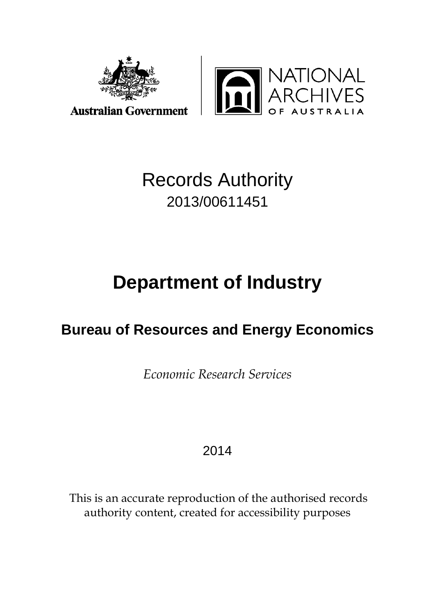



# Records Authority 2013/00611451

# **Department of Industry**

## **Bureau of Resources and Energy Economics**

*Economic Research Services*

## 2014

This is an accurate reproduction of the authorised records authority content, created for accessibility purposes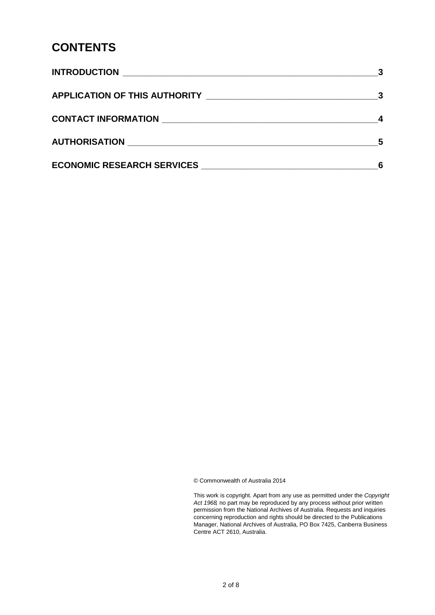#### **CONTENTS**

|                                   | $\overline{\mathbf{3}}$ |
|-----------------------------------|-------------------------|
|                                   |                         |
|                                   | 5                       |
| <b>ECONOMIC RESEARCH SERVICES</b> |                         |

© Commonwealth of Australia 2014

This work is copyright. Apart from any use as permitted under the *Copyright Act 1968,* no part may be reproduced by any process without prior written permission from the National Archives of Australia. Requests and inquiries concerning reproduction and rights should be directed to the Publications Manager, National Archives of Australia, PO Box 7425, Canberra Business Centre ACT 2610, Australia.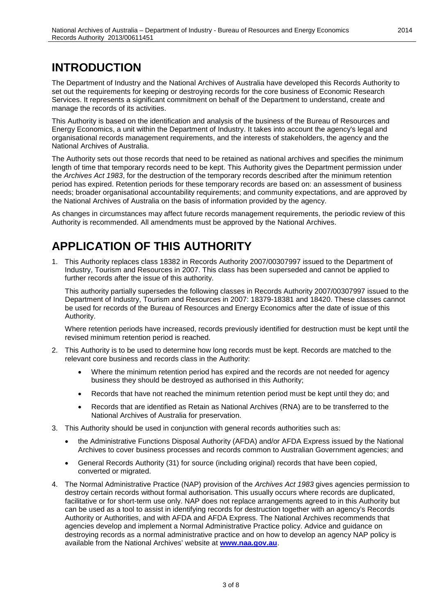### <span id="page-2-0"></span>**INTRODUCTION**

The Department of Industry and the National Archives of Australia have developed this Records Authority to set out the requirements for keeping or destroying records for the core business of Economic Research Services. It represents a significant commitment on behalf of the Department to understand, create and manage the records of its activities.

This Authority is based on the identification and analysis of the business of the Bureau of Resources and Energy Economics, a unit within the Department of Industry. It takes into account the agency's legal and organisational records management requirements, and the interests of stakeholders, the agency and the National Archives of Australia.

The Authority sets out those records that need to be retained as national archives and specifies the minimum length of time that temporary records need to be kept. This Authority gives the Department permission under the *Archives Act 1983*, for the destruction of the temporary records described after the minimum retention period has expired. Retention periods for these temporary records are based on: an assessment of business needs; broader organisational accountability requirements; and community expectations, and are approved by the National Archives of Australia on the basis of information provided by the agency.

As changes in circumstances may affect future records management requirements, the periodic review of this Authority is recommended. All amendments must be approved by the National Archives.

### <span id="page-2-1"></span>**APPLICATION OF THIS AUTHORITY**

1. This Authority replaces class 18382 in Records Authority 2007/00307997 issued to the Department of Industry, Tourism and Resources in 2007. This class has been superseded and cannot be applied to further records after the issue of this authority.

This authority partially supersedes the following classes in Records Authority 2007/00307997 issued to the Department of Industry, Tourism and Resources in 2007: 18379-18381 and 18420. These classes cannot be used for records of the Bureau of Resources and Energy Economics after the date of issue of this Authority.

Where retention periods have increased, records previously identified for destruction must be kept until the revised minimum retention period is reached.

- 2. This Authority is to be used to determine how long records must be kept. Records are matched to the relevant core business and records class in the Authority:
	- Where the minimum retention period has expired and the records are not needed for agency business they should be destroyed as authorised in this Authority;
	- Records that have not reached the minimum retention period must be kept until they do; and
	- Records that are identified as Retain as National Archives (RNA) are to be transferred to the National Archives of Australia for preservation.
- 3. This Authority should be used in conjunction with general records authorities such as:
	- the Administrative Functions Disposal Authority (AFDA) and/or AFDA Express issued by the National Archives to cover business processes and records common to Australian Government agencies; and
	- General Records Authority (31) for source (including original) records that have been copied, converted or migrated.
- 4. The Normal Administrative Practice (NAP) provision of the *Archives Act 1983* gives agencies permission to destroy certain records without formal authorisation. This usually occurs where records are duplicated, facilitative or for short-term use only. NAP does not replace arrangements agreed to in this Authority but can be used as a tool to assist in identifying records for destruction together with an agency's Records Authority or Authorities, and with AFDA and AFDA Express. The National Archives recommends that agencies develop and implement a Normal Administrative Practice policy. Advice and guidance on destroying records as a normal administrative practice and on how to develop an agency NAP policy is available from the National Archives' website at **[www.naa.gov.au](http://www.naa.gov.au/)**.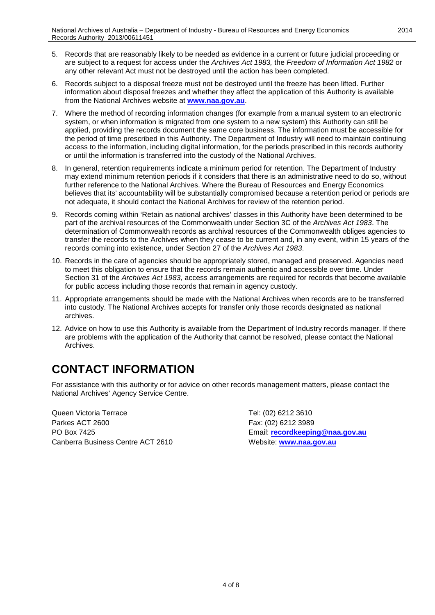- 5. Records that are reasonably likely to be needed as evidence in a current or future judicial proceeding or are subject to a request for access under the *Archives Act 1983,* the *Freedom of Information Act 1982* or any other relevant Act must not be destroyed until the action has been completed.
- 6. Records subject to a disposal freeze must not be destroyed until the freeze has been lifted. Further information about disposal freezes and whether they affect the application of this Authority is available from the National Archives website at **[www.naa.gov.au](http://www.naa.gov.au/)**.
- 7. Where the method of recording information changes (for example from a manual system to an electronic system, or when information is migrated from one system to a new system) this Authority can still be applied, providing the records document the same core business. The information must be accessible for the period of time prescribed in this Authority. The Department of Industry will need to maintain continuing access to the information, including digital information, for the periods prescribed in this records authority or until the information is transferred into the custody of the National Archives.
- 8. In general, retention requirements indicate a minimum period for retention. The Department of Industry may extend minimum retention periods if it considers that there is an administrative need to do so, without further reference to the National Archives. Where the Bureau of Resources and Energy Economics believes that its' accountability will be substantially compromised because a retention period or periods are not adequate, it should contact the National Archives for review of the retention period.
- 9. Records coming within 'Retain as national archives' classes in this Authority have been determined to be part of the archival resources of the Commonwealth under Section 3C of the *Archives Act 1983*. The determination of Commonwealth records as archival resources of the Commonwealth obliges agencies to transfer the records to the Archives when they cease to be current and, in any event, within 15 years of the records coming into existence, under Section 27 of the *Archives Act 1983*.
- 10. Records in the care of agencies should be appropriately stored, managed and preserved. Agencies need to meet this obligation to ensure that the records remain authentic and accessible over time. Under Section 31 of the *Archives Act 1983*, access arrangements are required for records that become available for public access including those records that remain in agency custody.
- 11. Appropriate arrangements should be made with the National Archives when records are to be transferred into custody. The National Archives accepts for transfer only those records designated as national archives.
- 12. Advice on how to use this Authority is available from the Department of Industry records manager. If there are problems with the application of the Authority that cannot be resolved, please contact the National **Archives**

#### <span id="page-3-0"></span>**CONTACT INFORMATION**

For assistance with this authority or for advice on other records management matters, please contact the National Archives' Agency Service Centre.

Queen Victoria Terrace Tel: (02) 6212 3610 Parkes ACT 2600 Fax: (02) 6212 3989 PO Box 7425 Email: **[recordkeeping@naa.gov.au](mailto:recordkeeping@naa.gov.au)** Canberra Business Centre ACT 2610 Website: **[www.naa.gov.au](http://www.naa.gov.au/)**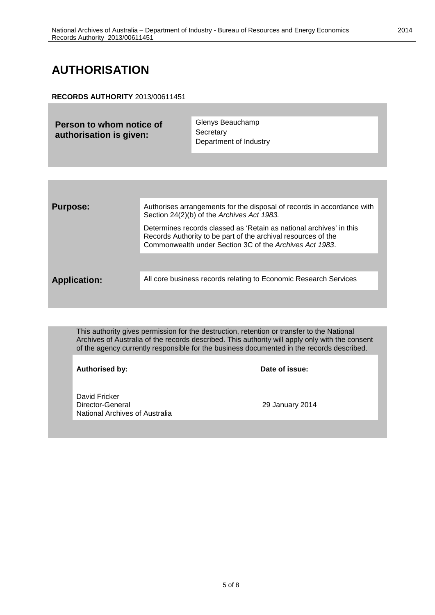### <span id="page-4-0"></span>**AUTHORISATION**

#### **RECORDS AUTHORITY** 2013/00611451

| Person to whom notice of<br>authorisation is given: | Glenys Beauchamp       |
|-----------------------------------------------------|------------------------|
|                                                     | Secretary              |
|                                                     | Department of Industry |

| <b>Purpose:</b>     | Authorises arrangements for the disposal of records in accordance with<br>Section 24(2)(b) of the Archives Act 1983.                                                                            |
|---------------------|-------------------------------------------------------------------------------------------------------------------------------------------------------------------------------------------------|
|                     | Determines records classed as 'Retain as national archives' in this<br>Records Authority to be part of the archival resources of the<br>Commonwealth under Section 3C of the Archives Act 1983. |
|                     |                                                                                                                                                                                                 |
| <b>Application:</b> | All core business records relating to Economic Research Services                                                                                                                                |
|                     |                                                                                                                                                                                                 |

This authority gives permission for the destruction, retention or transfer to the National Archives of Australia of the records described. This authority will apply only with the consent of the agency currently responsible for the business documented in the records described.

**Authorised by: Date of issue:**

David Fricker Director-General 29 January 2014 National Archives of Australia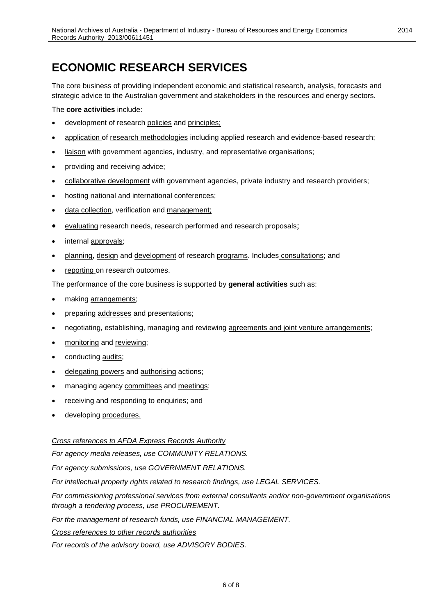### **ECONOMIC RESEARCH SERVICES**

The core business of providing independent economic and statistical research, analysis, forecasts and strategic advice to the Australian government and stakeholders in the resources and energy sectors.

The **core activities** include:

- development of research policies and principles;
- application of research methodologies including applied research and evidence-based research;
- liaison with government agencies, industry, and representative organisations;
- providing and receiving advice;
- collaborative development with government agencies, private industry and research providers;
- hosting national and international conferences;
- data collection, verification and management;
- evaluating research needs, research performed and research proposals;
- internal approvals;
- planning, design and development of research programs. Includes consultations; and
- reporting on research outcomes.

The performance of the core business is supported by **general activities** such as:

- making arrangements;
- preparing addresses and presentations;
- negotiating, establishing, managing and reviewing agreements and joint venture arrangements;
- monitoring and reviewing;
- conducting audits;
- delegating powers and authorising actions;
- managing agency committees and meetings;
- receiving and responding to enquiries; and
- developing procedures.

#### *Cross references to AFDA Express Records Authority*

*For agency media releases, use COMMUNITY RELATIONS.*

*For agency submissions, use GOVERNMENT RELATIONS.*

*For intellectual property rights related to research findings, use LEGAL SERVICES.*

*For commissioning professional services from external consultants and/or non-government organisations through a tendering process, use PROCUREMENT.*

*For the management of research funds, use FINANCIAL MANAGEMENT.*

*Cross references to other records authorities*

*For records of the advisory board, use ADVISORY BODIES.*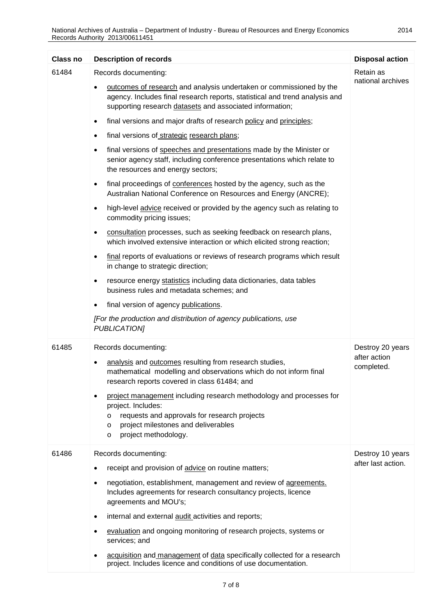| <b>Class no</b> | <b>Description of records</b>                                                                                                                                                                                                                                                                                                                                                                                                                                                                                                                                                                                                                                                                                                                                                                                                                                                                                                                                                                                                                                                                                                                                                                                                                                                                                                                                                                       | <b>Disposal action</b>                         |
|-----------------|-----------------------------------------------------------------------------------------------------------------------------------------------------------------------------------------------------------------------------------------------------------------------------------------------------------------------------------------------------------------------------------------------------------------------------------------------------------------------------------------------------------------------------------------------------------------------------------------------------------------------------------------------------------------------------------------------------------------------------------------------------------------------------------------------------------------------------------------------------------------------------------------------------------------------------------------------------------------------------------------------------------------------------------------------------------------------------------------------------------------------------------------------------------------------------------------------------------------------------------------------------------------------------------------------------------------------------------------------------------------------------------------------------|------------------------------------------------|
| 61484           | Records documenting:<br>outcomes of research and analysis undertaken or commissioned by the<br>agency. Includes final research reports, statistical and trend analysis and<br>supporting research datasets and associated information;<br>final versions and major drafts of research policy and principles;<br>$\bullet$<br>final versions of strategic research plans;<br>٠<br>final versions of speeches and presentations made by the Minister or<br>$\bullet$<br>senior agency staff, including conference presentations which relate to<br>the resources and energy sectors;<br>final proceedings of conferences hosted by the agency, such as the<br>٠<br>Australian National Conference on Resources and Energy (ANCRE);<br>high-level advice received or provided by the agency such as relating to<br>$\bullet$<br>commodity pricing issues;<br>consultation processes, such as seeking feedback on research plans,<br>which involved extensive interaction or which elicited strong reaction;<br>final reports of evaluations or reviews of research programs which result<br>$\bullet$<br>in change to strategic direction;<br>resource energy statistics including data dictionaries, data tables<br>٠<br>business rules and metadata schemes; and<br>final version of agency publications.<br>[For the production and distribution of agency publications, use<br><b>PUBLICATION]</b> | Retain as<br>national archives                 |
| 61485           | Records documenting:<br>analysis and outcomes resulting from research studies,<br>$\bullet$<br>mathematical modelling and observations which do not inform final<br>research reports covered in class 61484; and<br>project management including research methodology and processes for<br>project. Includes:<br>requests and approvals for research projects<br>$\circ$<br>project milestones and deliverables<br>$\circ$<br>project methodology.<br>$\circ$                                                                                                                                                                                                                                                                                                                                                                                                                                                                                                                                                                                                                                                                                                                                                                                                                                                                                                                                       | Destroy 20 years<br>after action<br>completed. |
| 61486           | Records documenting:<br>receipt and provision of advice on routine matters;<br>negotiation, establishment, management and review of agreements.<br>٠<br>Includes agreements for research consultancy projects, licence<br>agreements and MOU's;<br>internal and external audit activities and reports;<br>٠<br>evaluation and ongoing monitoring of research projects, systems or<br>services; and<br>acquisition and management of data specifically collected for a research<br>٠<br>project. Includes licence and conditions of use documentation.                                                                                                                                                                                                                                                                                                                                                                                                                                                                                                                                                                                                                                                                                                                                                                                                                                               | Destroy 10 years<br>after last action.         |